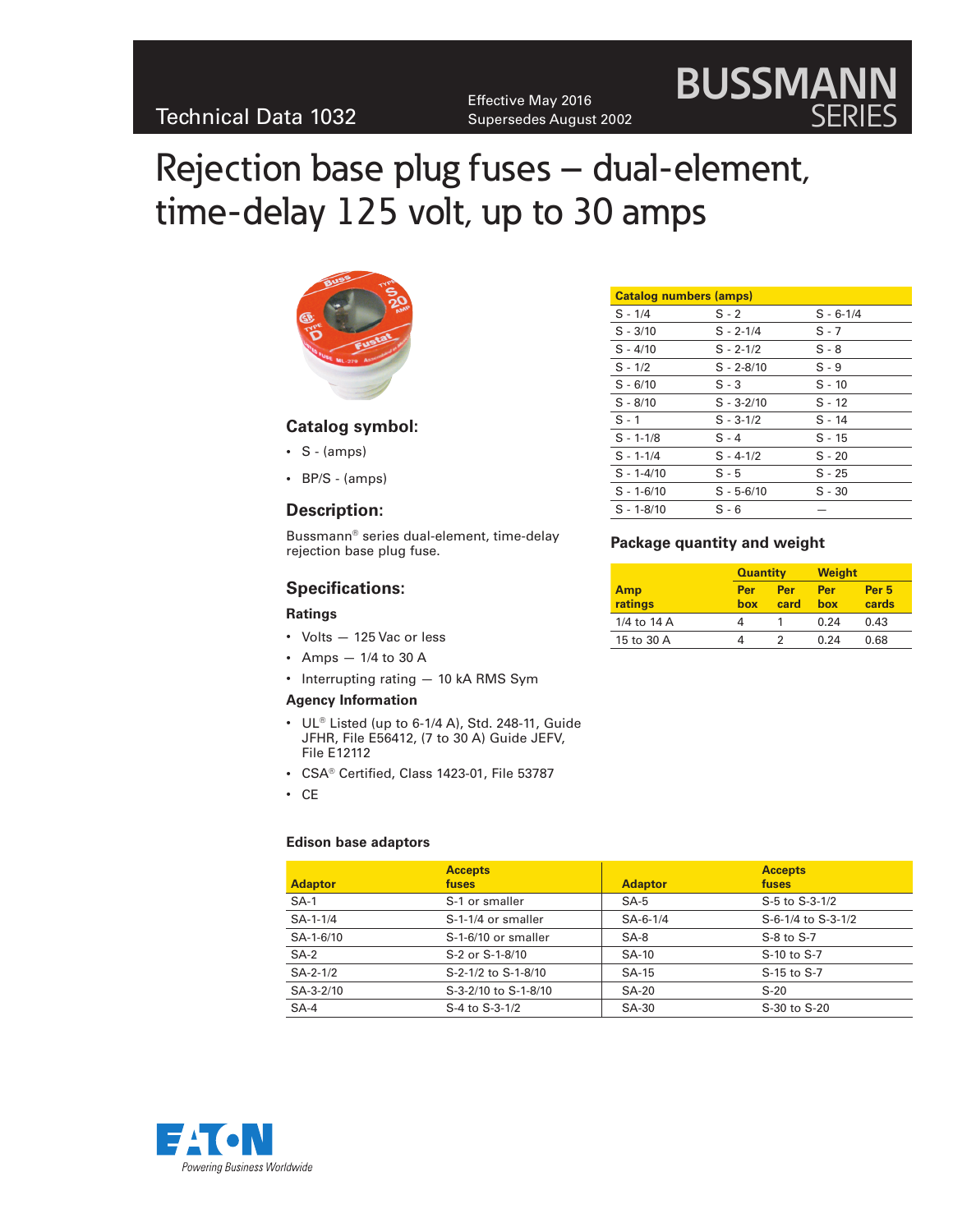Effective May 2016 Supersedes August 2002

# Rejection base plug fuses – dual-element, time-delay 125 volt, up to 30 amps



### **Catalog symbol:**

- $\cdot$  S (amps)
- • BP/S (amps)

#### **Description:**

Bussmann® series dual-element, time-delay rejection base plug fuse.

#### **Specifications:**

#### **Ratings**

- Volts 125 Vac or less
- Amps  $-1/4$  to 30 A
- Interrupting rating 10 kA RMS Sym

#### **Agency Information**

- $\cdot$  UL® Listed (up to 6-1/4 A), Std. 248-11, Guide JFHR, File E56412, (7 to 30 A) Guide JEFV, File E12112
- • CSA® Certified, Class 1423-01, File 53787
- • CE

#### **Edison base adaptors**

| <b>Adaptor</b>  | <b>Accepts</b><br>fuses | <b>Adaptor</b> | <b>Accepts</b><br>fuses |
|-----------------|-------------------------|----------------|-------------------------|
| $SA-1$          | S-1 or smaller          | SA-5           | S-5 to S-3-1/2          |
| $SA-1-1/4$      | S-1-1/4 or smaller      | $SA-6-1/4$     | S-6-1/4 to S-3-1/2      |
| SA-1-6/10       | S-1-6/10 or smaller     | $SA-8$         | S-8 to S-7              |
| $SA-2$          | S-2 or S-1-8/10         | <b>SA-10</b>   | S-10 to S-7             |
| $SA-2-1/2$      | S-2-1/2 to S-1-8/10     | SA-15          | S-15 to S-7             |
| $SA - 3 - 2/10$ | S-3-2/10 to S-1-8/10    | <b>SA-20</b>   | $S-20$                  |
| $SA-4$          | S-4 to S-3-1/2          | <b>SA-30</b>   | S-30 to S-20            |



**BUSSMANN**

SERIES

#### **Package quantity and weight**

|                | <b>Quantity</b> |             | <b>Weight</b> |                           |
|----------------|-----------------|-------------|---------------|---------------------------|
| Amp<br>ratings | Per<br>box      | Per<br>card | Per<br>hox    | Per <sub>5</sub><br>cards |
| 1/4 to 14 A    | 4               |             | 0.24          | 0.43                      |
| 15 to 30 A     |                 |             | 0.24          | 0.68                      |